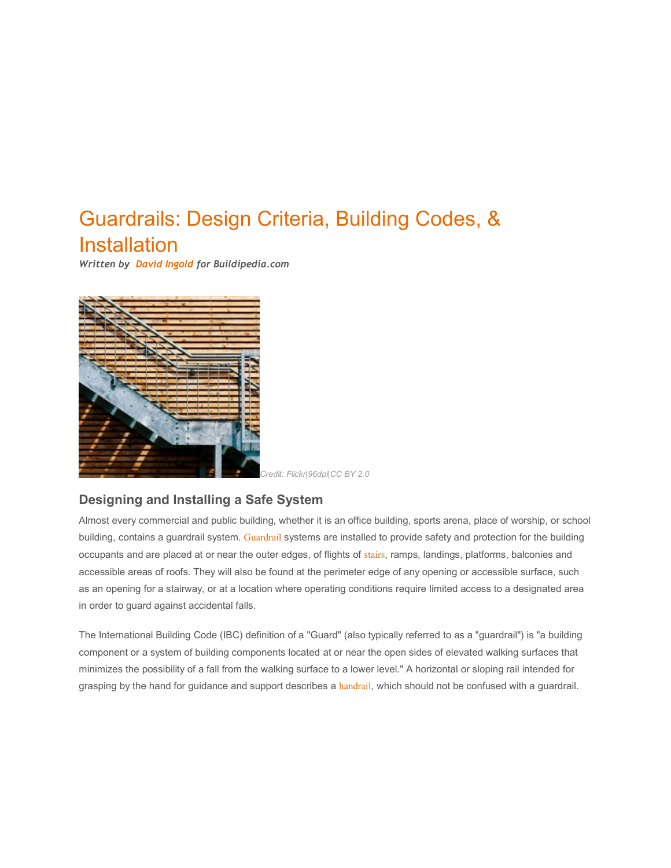# Guardrails: Design Criteria, Building Codes, & Installation

*Written by [David Ingold](http://buildipedia.com/blog/david-ingold) for Buildipedia.com*



*Credit: Flickr|96dpi|CC BY 2.0*

## **Designing and Installing a Safe System**

Almost every commercial and public building, whether it is an office building, sports arena, place of worship, or school building, contains a guardrail system. [Guardrail](http://www.buildipedia.com/division-05-metals/item/128-05-52-00-metal-railings) systems are installed to provide safety and protection for the building occupants and are placed at or near the outer edges, of flights of [stairs](http://www.buildipedia.com/division-05-metals/item/133-05-51-00-metal-stairs), ramps, landings, platforms, balconies and accessible areas of roofs. They will also be found at the perimeter edge of any opening or accessible surface, such as an opening for a stairway, or at a location where operating conditions require limited access to a designated area in order to guard against accidental falls.

The International Building Code (IBC) definition of a "Guard" (also typically referred to as a "guardrail") is "a building component or a system of building components located at or near the open sides of elevated walking surfaces that minimizes the possibility of a fall from the walking surface to a lower level." A horizontal or sloping rail intended for grasping by the hand for guidance and support describes a [handrail](http://www.buildipedia.com/division-05-metals/item/128-05-52-00-metal-railings), which should not be confused with a guardrail.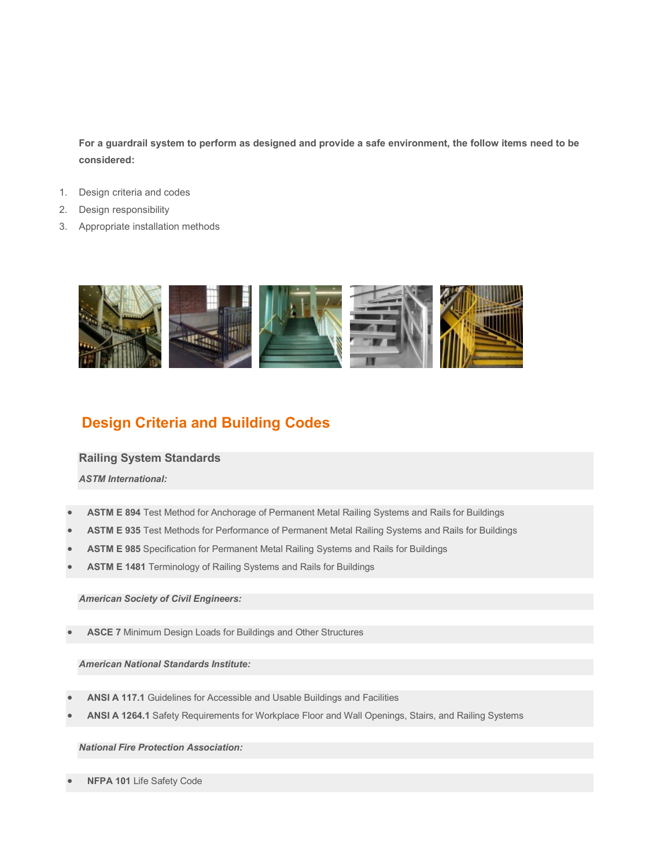**For a guardrail system to perform as designed and provide a safe environment, the follow items need to be considered:** 

- 1. Design criteria and codes
- 2. Design responsibility
- 3. Appropriate installation methods



## **Design Criteria and Building Codes**

#### **Railing System Standards**

*ASTM International:*

- **ASTM E 894** Test Method for Anchorage of Permanent Metal Railing Systems and Rails for Buildings
- **ASTM E 935** Test Methods for Performance of Permanent Metal Railing Systems and Rails for Buildings
- **ASTM E 985** Specification for Permanent Metal Railing Systems and Rails for Buildings
- **ASTM E 1481** Terminology of Railing Systems and Rails for Buildings

#### *American Society of Civil Engineers:*

**ASCE 7** Minimum Design Loads for Buildings and Other Structures

*American National Standards Institute:*

- **ANSI A 117.1** Guidelines for Accessible and Usable Buildings and Facilities
- **ANSI A 1264.1** Safety Requirements for Workplace Floor and Wall Openings, Stairs, and Railing Systems

### *National Fire Protection Association:*

**NFPA 101** Life Safety Code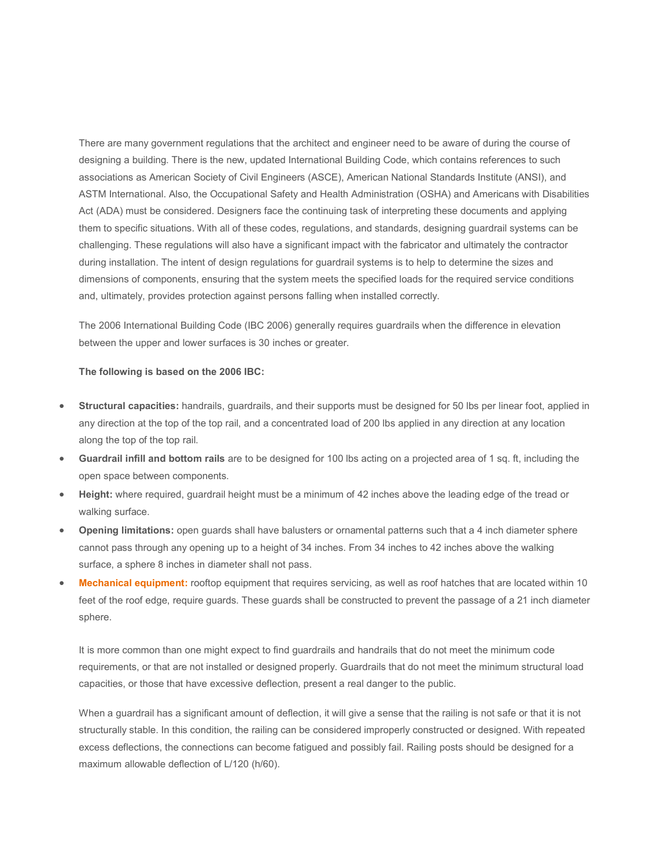There are many government regulations that the architect and engineer need to be aware of during the course of designing a building. There is the new, updated International Building Code, which contains references to such associations as American Society of Civil Engineers (ASCE), American National Standards Institute (ANSI), and ASTM International. Also, the Occupational Safety and Health Administration (OSHA) and Americans with Disabilities Act (ADA) must be considered. Designers face the continuing task of interpreting these documents and applying them to specific situations. With all of these codes, regulations, and standards, designing guardrail systems can be challenging. These regulations will also have a significant impact with the fabricator and ultimately the contractor during installation. The intent of design regulations for guardrail systems is to help to determine the sizes and dimensions of components, ensuring that the system meets the specified loads for the required service conditions and, ultimately, provides protection against persons falling when installed correctly.

The 2006 International Building Code (IBC 2006) generally requires guardrails when the difference in elevation between the upper and lower surfaces is 30 inches or greater.

#### **The following is based on the 2006 IBC:**

- **Structural capacities:** handrails, guardrails, and their supports must be designed for 50 lbs per linear foot, applied in any direction at the top of the top rail, and a concentrated load of 200 lbs applied in any direction at any location along the top of the top rail.
- **Guardrail infill and bottom rails** are to be designed for 100 lbs acting on a projected area of 1 sq. ft, including the open space between components.
- **Height:** where required, guardrail height must be a minimum of 42 inches above the leading edge of the tread or walking surface.
- **Opening limitations:** open guards shall have balusters or ornamental patterns such that a 4 inch diameter sphere cannot pass through any opening up to a height of 34 inches. From 34 inches to 42 inches above the walking surface, a sphere 8 inches in diameter shall not pass.
- **[Mechanical equipment:](http://www.buildipedia.com/division-23-heating-ventilating-and-air-conditioning)** rooftop equipment that requires servicing, as well as roof hatches that are located within 10 feet of the roof edge, require guards. These guards shall be constructed to prevent the passage of a 21 inch diameter sphere.

It is more common than one might expect to find guardrails and handrails that do not meet the minimum code requirements, or that are not installed or designed properly. Guardrails that do not meet the minimum structural load capacities, or those that have excessive deflection, present a real danger to the public.

When a guardrail has a significant amount of deflection, it will give a sense that the railing is not safe or that it is not structurally stable. In this condition, the railing can be considered improperly constructed or designed. With repeated excess deflections, the connections can become fatigued and possibly fail. Railing posts should be designed for a maximum allowable deflection of L/120 (h/60).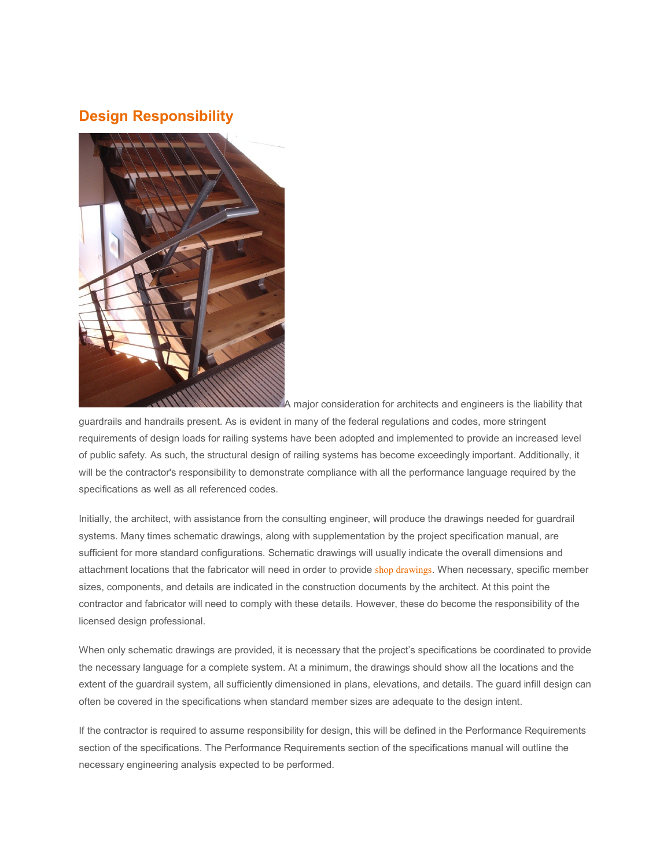## **Design Responsibility**



A major consideration for architects and engineers is the liability that

guardrails and handrails present. As is evident in many of the federal regulations and codes, more stringent requirements of design loads for railing systems have been adopted and implemented to provide an increased level of public safety. As such, the structural design of railing systems has become exceedingly important. Additionally, it will be the contractor's responsibility to demonstrate compliance with all the performance language required by the specifications as well as all referenced codes.

Initially, the architect, with assistance from the consulting engineer, will produce the drawings needed for guardrail systems. Many times schematic drawings, along with supplementation by the project specification manual, are sufficient for more standard configurations. Schematic drawings will usually indicate the overall dimensions and attachment locations that the fabricator will need in order to provide [shop drawings](http://www.buildipedia.com/channels/on-site/item/955-is-the-construction-submittal-process-really-that-important). When necessary, specific member sizes, components, and details are indicated in the construction documents by the architect. At this point the contractor and fabricator will need to comply with these details. However, these do become the responsibility of the licensed design professional.

When only schematic drawings are provided, it is necessary that the project's specifications be coordinated to provide the necessary language for a complete system. At a minimum, the drawings should show all the locations and the extent of the guardrail system, all sufficiently dimensioned in plans, elevations, and details. The guard infill design can often be covered in the specifications when standard member sizes are adequate to the design intent.

If the contractor is required to assume responsibility for design, this will be defined in the Performance Requirements section of the specifications. The Performance Requirements section of the specifications manual will outline the necessary engineering analysis expected to be performed.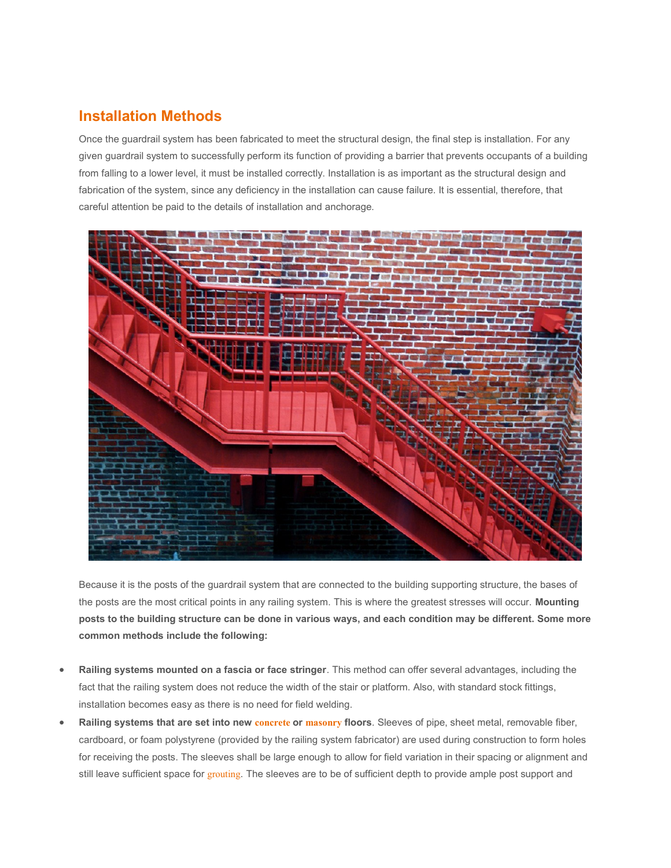## **Installation Methods**

Once the guardrail system has been fabricated to meet the structural design, the final step is installation. For any given guardrail system to successfully perform its function of providing a barrier that prevents occupants of a building from falling to a lower level, it must be installed correctly. Installation is as important as the structural design and fabrication of the system, since any deficiency in the installation can cause failure. It is essential, therefore, that careful attention be paid to the details of installation and anchorage.



Because it is the posts of the guardrail system that are connected to the building supporting structure, the bases of the posts are the most critical points in any railing system. This is where the greatest stresses will occur. **Mounting posts to the building structure can be done in various ways, and each condition may be different. Some more common methods include the following:**

- **Railing systems mounted on a fascia or face stringer**. This method can offer several advantages, including the fact that the railing system does not reduce the width of the stair or platform. Also, with standard stock fittings, installation becomes easy as there is no need for field welding.
- **Railing systems that are set into new [concrete](http://buildipedia.com/division-03-concrete/item/22-03-00-00-concrete) or [masonry](http://buildipedia.com/division-04-masonry) floors**. Sleeves of pipe, sheet metal, removable fiber, cardboard, or foam polystyrene (provided by the railing system fabricator) are used during construction to form holes for receiving the posts. The sleeves shall be large enough to allow for field variation in their spacing or alignment and still leave sufficient space for [grouting](http://buildipedia.com/division-03-concrete/item/33-03-60-00-grouting). The sleeves are to be of sufficient depth to provide ample post support and